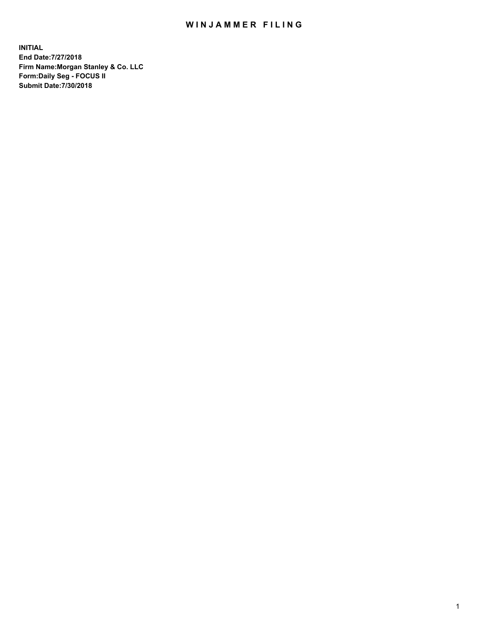## WIN JAMMER FILING

**INITIAL End Date:7/27/2018 Firm Name:Morgan Stanley & Co. LLC Form:Daily Seg - FOCUS II Submit Date:7/30/2018**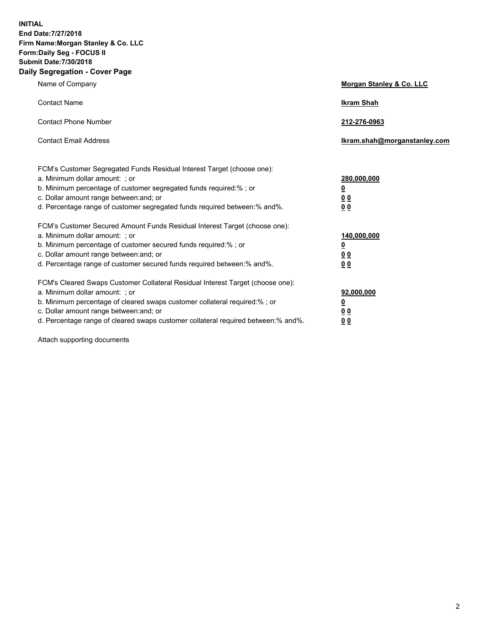**INITIAL End Date:7/27/2018 Firm Name:Morgan Stanley & Co. LLC Form:Daily Seg - FOCUS II Submit Date:7/30/2018 Daily Segregation - Cover Page**

| Name of Company                                                                                                        | Morgan Stanley & Co. LLC     |  |  |
|------------------------------------------------------------------------------------------------------------------------|------------------------------|--|--|
| <b>Contact Name</b>                                                                                                    | <b>Ikram Shah</b>            |  |  |
| <b>Contact Phone Number</b>                                                                                            | 212-276-0963                 |  |  |
| <b>Contact Email Address</b>                                                                                           | Ikram.shah@morganstanley.com |  |  |
| FCM's Customer Segregated Funds Residual Interest Target (choose one):                                                 |                              |  |  |
| a. Minimum dollar amount: ; or                                                                                         | 280,000,000                  |  |  |
| b. Minimum percentage of customer segregated funds required:% ; or                                                     | <u>0</u>                     |  |  |
| c. Dollar amount range between: and; or<br>d. Percentage range of customer segregated funds required between: % and %. | <u>0 0</u><br>0 Q            |  |  |
| FCM's Customer Secured Amount Funds Residual Interest Target (choose one):                                             |                              |  |  |
| a. Minimum dollar amount: ; or                                                                                         | 140,000,000                  |  |  |
| b. Minimum percentage of customer secured funds required:%; or                                                         | <u>0</u>                     |  |  |
| c. Dollar amount range between: and; or                                                                                | 0 <sub>0</sub>               |  |  |
| d. Percentage range of customer secured funds required between:% and%.                                                 | 0 <sub>0</sub>               |  |  |
| FCM's Cleared Swaps Customer Collateral Residual Interest Target (choose one):                                         |                              |  |  |
| a. Minimum dollar amount: ; or                                                                                         | 92,000,000                   |  |  |
| b. Minimum percentage of cleared swaps customer collateral required:% ; or                                             | <u>0</u>                     |  |  |
| c. Dollar amount range between: and; or                                                                                | 0 Q                          |  |  |
| d. Percentage range of cleared swaps customer collateral required between:% and%.                                      | 00                           |  |  |

Attach supporting documents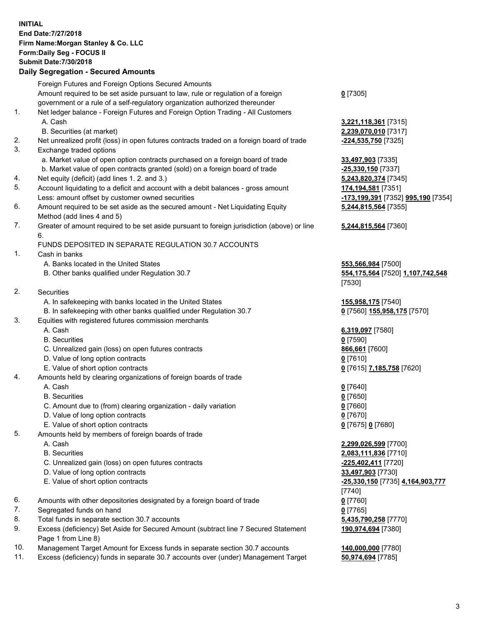## **INITIAL End Date:7/27/2018 Firm Name:Morgan Stanley & Co. LLC Form:Daily Seg - FOCUS II Submit Date:7/30/2018 Daily Segregation - Secured Amounts**

|    | Foreign Futures and Foreign Options Secured Amounts                                         |                                     |
|----|---------------------------------------------------------------------------------------------|-------------------------------------|
|    | Amount required to be set aside pursuant to law, rule or regulation of a foreign            | $0$ [7305]                          |
|    | government or a rule of a self-regulatory organization authorized thereunder                |                                     |
| 1. | Net ledger balance - Foreign Futures and Foreign Option Trading - All Customers             |                                     |
|    | A. Cash                                                                                     | 3,221,118,361 [7315]                |
|    | B. Securities (at market)                                                                   | 2,239,070,010 [7317]                |
| 2. | Net unrealized profit (loss) in open futures contracts traded on a foreign board of trade   | -224,535,750 [7325]                 |
| 3. | Exchange traded options                                                                     |                                     |
|    | a. Market value of open option contracts purchased on a foreign board of trade              | 33,497,903 [7335]                   |
|    | b. Market value of open contracts granted (sold) on a foreign board of trade                | -25,330,150 [7337]                  |
| 4. | Net equity (deficit) (add lines 1. 2. and 3.)                                               | 5,243,820,374 [7345]                |
| 5. | Account liquidating to a deficit and account with a debit balances - gross amount           | 174,194,581 [7351]                  |
|    |                                                                                             |                                     |
|    | Less: amount offset by customer owned securities                                            | <u>-173,199,391</u> [7352] <u>(</u> |
| 6. | Amount required to be set aside as the secured amount - Net Liquidating Equity              | 5,244,815,564 [7355]                |
|    | Method (add lines 4 and 5)                                                                  |                                     |
| 7. | Greater of amount required to be set aside pursuant to foreign jurisdiction (above) or line | 5,244,815,564 [7360]                |
|    | 6.                                                                                          |                                     |
|    | FUNDS DEPOSITED IN SEPARATE REGULATION 30.7 ACCOUNTS                                        |                                     |
| 1. | Cash in banks                                                                               |                                     |
|    | A. Banks located in the United States                                                       | 553,566,984 [7500]                  |
|    | B. Other banks qualified under Regulation 30.7                                              | 554,175,564 [7520] 1                |
|    |                                                                                             | [7530]                              |
| 2. | Securities                                                                                  |                                     |
|    | A. In safekeeping with banks located in the United States                                   | <u>155,958,175</u> [7540]           |
|    | B. In safekeeping with other banks qualified under Regulation 30.7                          | 0 [7560] 155,958,175                |
| 3. | Equities with registered futures commission merchants                                       |                                     |
|    | A. Cash                                                                                     | 6,319,097 [7580]                    |
|    | <b>B.</b> Securities                                                                        | $0$ [7590]                          |
|    | C. Unrealized gain (loss) on open futures contracts                                         | 866,661 [7600]                      |
|    | D. Value of long option contracts                                                           | $0$ [7610]                          |
|    | E. Value of short option contracts                                                          | 0 [7615] 7,185,758 [7               |
| 4. | Amounts held by clearing organizations of foreign boards of trade                           |                                     |
|    | A. Cash                                                                                     | $0$ [7640]                          |
|    | <b>B.</b> Securities                                                                        | $0$ [7650]                          |
|    | C. Amount due to (from) clearing organization - daily variation                             | $0$ [7660]                          |
|    | D. Value of long option contracts                                                           | $0$ [7670]                          |
|    | E. Value of short option contracts                                                          | 0 [7675] 0 [7680]                   |
| 5. | Amounts held by members of foreign boards of trade                                          |                                     |
|    | A. Cash                                                                                     | 2,299,026,599 [7700]                |
|    | <b>B.</b> Securities                                                                        | 2,083,111,836 [7710]                |
|    | C. Unrealized gain (loss) on open futures contracts                                         | 225,402,411 [7720]                  |
|    | D. Value of long option contracts                                                           | 33,497,903 [7730]                   |
|    | E. Value of short option contracts                                                          | <u>-25,330,150</u> [7735] 4,        |
|    |                                                                                             | [7740]                              |
| 6. | Amounts with other depositories designated by a foreign board of trade                      | $0$ [7760]                          |
| 7. | Segregated funds on hand                                                                    | $0$ [7765]                          |
| 8. | Total funds in separate section 30.7 accounts                                               | 5,435,790,258 [7770]                |
| 9. | Excess (deficiency) Set Aside for Secured Amount (subtract line 7 Secured Statement         | 190,974,694 [7380]                  |
|    |                                                                                             |                                     |

10. Management Target Amount for Excess funds in separate section 30.7 accounts **140,000,000** [7780]

Page 1 from Line 8)

**070,010** [7317] a. 7.903 [7335] **80,150** [7337] Less: amount offset by customer owned securities **-173,199,391** [7352] **995,190** [7354] **5,244,815,564** [7355]

## **5,244,815,564** [7360]

 $66,984$  [7500] B. Other banks qualified under Regulation 30.7 **554,175,564** [7520] **1,107,742,548** [7530]

**58,175** [7540] 80] **155,958,175** [7570]

E. Value of short of short of  $(7620)$ 

 A. Cash **2,299,026,599** [7700] B. Securities **2,083,111,836** [7710] **02,411** [7720] D. Value of long option contracts **33,497,903** [7730] E. Value of short option contracts **-25,330,150** [7735] **4,164,903,777** [7740] **190,974,694** [7380]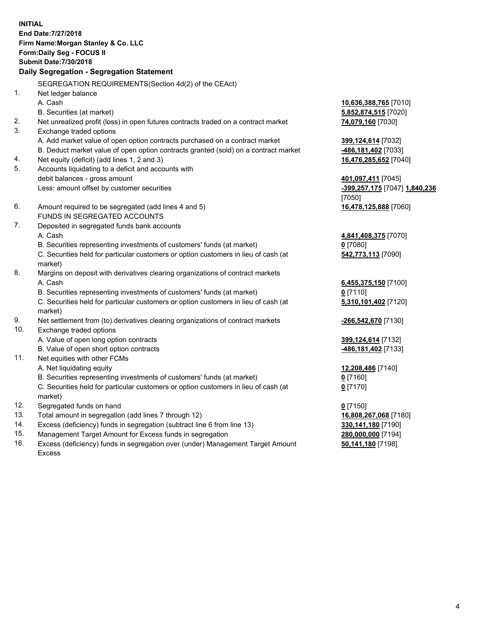**INITIAL End Date:7/27/2018 Firm Name:Morgan Stanley & Co. LLC Form:Daily Seg - FOCUS II Submit Date:7/30/2018 Daily Segregation - Segregation Statement** SEGREGATION REQUIREMENTS(Section 4d(2) of the CEAct) 1. Net ledger balance A. Cash **10,636,388,765** [7010] B. Securities (at market) **5,852,874,515** [7020] 2. Net unrealized profit (loss) in open futures contracts traded on a contract market **74,079,160** [7030] 3. Exchange traded options A. Add market value of open option contracts purchased on a contract market **399,124,614** [7032] B. Deduct market value of open option contracts granted (sold) on a contract market **-486,181,402** [7033] 4. Net equity (deficit) (add lines 1, 2 and 3) **16,476,285,652** [7040] 5. Accounts liquidating to a deficit and accounts with debit balances - gross amount **401,097,411** [7045] Less: amount offset by customer securities **-399,257,175** [7047] **1,840,236** [7050] 6. Amount required to be segregated (add lines 4 and 5) **16,478,125,888** [7060] FUNDS IN SEGREGATED ACCOUNTS 7. Deposited in segregated funds bank accounts A. Cash **4,841,408,375** [7070] B. Securities representing investments of customers' funds (at market) **0** [7080] C. Securities held for particular customers or option customers in lieu of cash (at market) **542,773,113** [7090] 8. Margins on deposit with derivatives clearing organizations of contract markets A. Cash **6,455,375,150** [7100] B. Securities representing investments of customers' funds (at market) **0** [7110] C. Securities held for particular customers or option customers in lieu of cash (at market) **5,310,101,402** [7120] 9. Net settlement from (to) derivatives clearing organizations of contract markets **-266,542,670** [7130] 10. Exchange traded options A. Value of open long option contracts **399,124,614** [7132] B. Value of open short option contracts **-486,181,402** [7133] 11. Net equities with other FCMs A. Net liquidating equity **12,208,486** [7140] B. Securities representing investments of customers' funds (at market) **0** [7160] C. Securities held for particular customers or option customers in lieu of cash (at market) **0** [7170] 12. Segregated funds on hand **0** [7150] 13. Total amount in segregation (add lines 7 through 12) **16,808,267,068** [7180] 14. Excess (deficiency) funds in segregation (subtract line 6 from line 13) **330,141,180** [7190] 15. Management Target Amount for Excess funds in segregation **280,000,000** [7194]

16. Excess (deficiency) funds in segregation over (under) Management Target Amount Excess

**50,141,180** [7198]